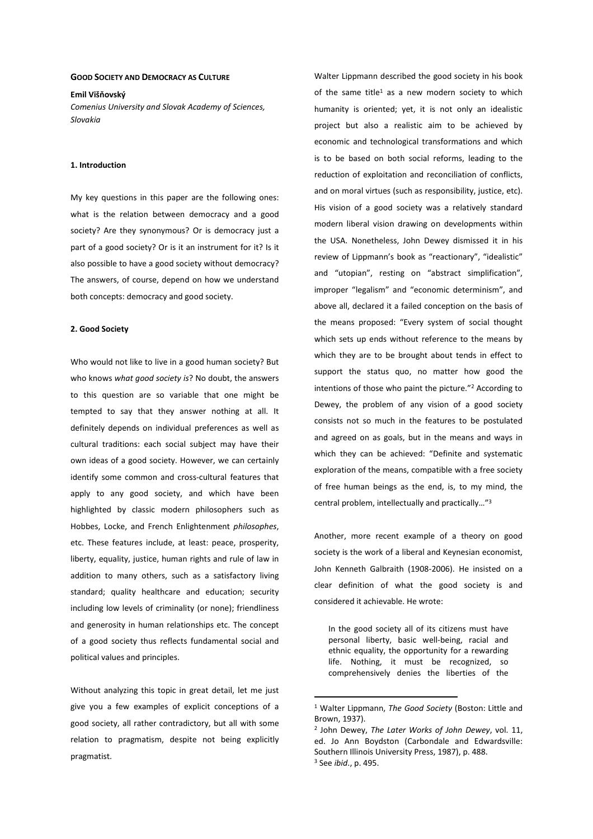### **GOOD SOCIETY AND DEMOCRACY AS CULTURE**

### **Emil Višňovský**

*Comenius University and Slovak Academy of Sciences, Slovakia* 

### **1. Introduction**

My key questions in this paper are the following ones: what is the relation between democracy and a good society? Are they synonymous? Or is democracy just a part of a good society? Or is it an instrument for it? Is it also possible to have a good society without democracy? The answers, of course, depend on how we understand both concepts: democracy and good society.

### **2. Good Society**

Who would not like to live in a good human society? But who knows *what good society is*? No doubt, the answers to this question are so variable that one might be tempted to say that they answer nothing at all. It definitely depends on individual preferences as well as cultural traditions: each social subject may have their own ideas of a good society. However, we can certainly identify some common and cross-cultural features that apply to any good society, and which have been highlighted by classic modern philosophers such as Hobbes, Locke, and French Enlightenment *philosophes*, etc. These features include, at least: peace, prosperity, liberty, equality, justice, human rights and rule of law in addition to many others, such as a satisfactory living standard; quality healthcare and education; security including low levels of criminality (or none); friendliness and generosity in human relationships etc. The concept of a good society thus reflects fundamental social and political values and principles.

Without analyzing this topic in great detail, let me just give you a few examples of explicit conceptions of a good society, all rather contradictory, but all with some relation to pragmatism, despite not being explicitly pragmatist.

Walter Lippmann described the good society in his book of the same title<sup>1</sup> as a new modern society to which humanity is oriented; yet, it is not only an idealistic project but also a realistic aim to be achieved by economic and technological transformations and which is to be based on both social reforms, leading to the reduction of exploitation and reconciliation of conflicts, and on moral virtues (such as responsibility, justice, etc). His vision of a good society was a relatively standard modern liberal vision drawing on developments within the USA. Nonetheless, John Dewey dismissed it in his review of Lippmann's book as "reactionary", "idealistic" and "utopian", resting on "abstract simplification", improper "legalism" and "economic determinism", and above all, declared it a failed conception on the basis of the means proposed: "Every system of social thought which sets up ends without reference to the means by which they are to be brought about tends in effect to support the status quo, no matter how good the intentions of those who paint the picture."<sup>2</sup> According to Dewey, the problem of any vision of a good society consists not so much in the features to be postulated and agreed on as goals, but in the means and ways in which they can be achieved: "Definite and systematic exploration of the means, compatible with a free society of free human beings as the end, is, to my mind, the central problem, intellectually and practically…"<sup>3</sup>

Another, more recent example of a theory on good society is the work of a liberal and Keynesian economist, John Kenneth Galbraith (1908-2006). He insisted on a clear definition of what the good society is and considered it achievable. He wrote:

In the good society all of its citizens must have personal liberty, basic well-being, racial and ethnic equality, the opportunity for a rewarding life. Nothing, it must be recognized, so comprehensively denies the liberties of the

 $\overline{a}$ 

<sup>1</sup> Walter Lippmann, *The Good Society* (Boston: Little and Brown, 1937).

<sup>2</sup> John Dewey, *The Later Works of John Dewey*, vol. 11, ed. Jo Ann Boydston (Carbondale and Edwardsville: Southern Illinois University Press, 1987), p. 488. 3 See *ibid*., p. 495.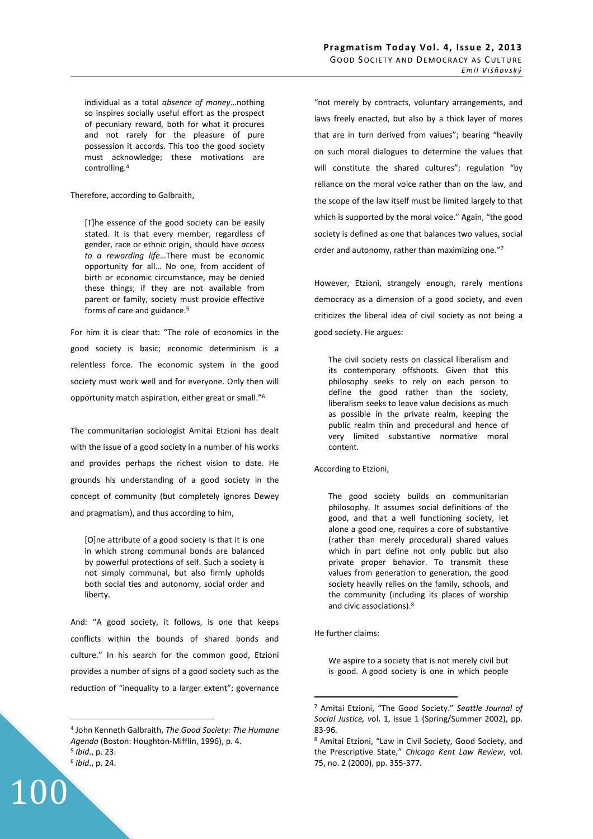individual as a total *absence of money*…nothing so inspires socially useful effort as the prospect of pecuniary reward, both for what it procures and not rarely for the pleasure of pure possession it accords. This too the good society must acknowledge; these motivations are controlling.<sup>4</sup>

Therefore, according to Galbraith,

[T]he essence of the good society can be easily stated. It is that every member, regardless of gender, race or ethnic origin, should have *access to a rewarding life*…There must be economic opportunity for all… No one, from accident of birth or economic circumstance, may be denied these things; if they are not available from parent or family, society must provide effective forms of care and guidance.<sup>5</sup>

For him it is clear that: "The role of economics in the good society is basic; economic determinism is a relentless force. The economic system in the good society must work well and for everyone. Only then will opportunity match aspiration, either great or small."<sup>6</sup>

The communitarian sociologist Amitai Etzioni has dealt with the issue of a good society in a number of his works and provides perhaps the richest vision to date. He grounds his understanding of a good society in the concept of community (but completely ignores Dewey and pragmatism), and thus according to him,

[O]ne attribute of a good society is that it is one in which strong communal bonds are balanced by powerful protections of self. Such a society is not simply communal, but also firmly upholds both social ties and autonomy, social order and liberty.

And: "A good society, it follows, is one that keeps conflicts within the bounds of shared bonds and culture." In his search for the common good, Etzioni provides a number of signs of a good society such as the reduction of "inequality to a larger extent"; governance

 $\overline{a}$ 

100

"not merely by contracts, voluntary arrangements, and laws freely enacted, but also by a thick layer of mores that are in turn derived from values"; bearing "heavily on such moral dialogues to determine the values that will constitute the shared cultures"; regulation "by reliance on the moral voice rather than on the law, and the scope of the law itself must be limited largely to that which is supported by the moral voice." Again, "the good society is defined as one that balances two values, social order and autonomy, rather than maximizing one."<sup>7</sup>

However, Etzioni, strangely enough, rarely mentions democracy as a dimension of a good society, and even criticizes the liberal idea of civil society as not being a good society. He argues:

The civil society rests on classical liberalism and its contemporary offshoots. Given that this philosophy seeks to rely on each person to define the good rather than the society, liberalism seeks to leave value decisions as much as possible in the private realm, keeping the public realm thin and procedural and hence of very limited substantive normative moral content.

According to Etzioni,

The good society builds on communitarian philosophy. It assumes social definitions of the good, and that a well functioning society, let alone a good one, requires a core of substantive (rather than merely procedural) shared values which in part define not only public but also private proper behavior. To transmit these values from generation to generation, the good society heavily relies on the family, schools, and the community (including its places of worship and civic associations).<sup>8</sup>

He further claims:

 $\overline{a}$ 

We aspire to a society that is not merely civil but is good. A good society is one in which people

<sup>4</sup> John Kenneth Galbraith, *The Good Society: The Humane Agenda* (Boston: Houghton-Mifflin, 1996), p. 4. 5 *Ibid*., p. 23.

<sup>6</sup> *Ibid*., p. 24.

<sup>7</sup> Amitai Etzioni, "The Good Society." *Seattle Journal of Social Justice, v*ol. 1, issue 1 (Spring/Summer 2002), pp. 83-96.

<sup>&</sup>lt;sup>8</sup> Amitai Etzioni, "Law in Civil Society, Good Society, and the Prescriptive State," *Chicago Kent Law Review*, vol. 75, no. 2 (2000), pp. 355-377.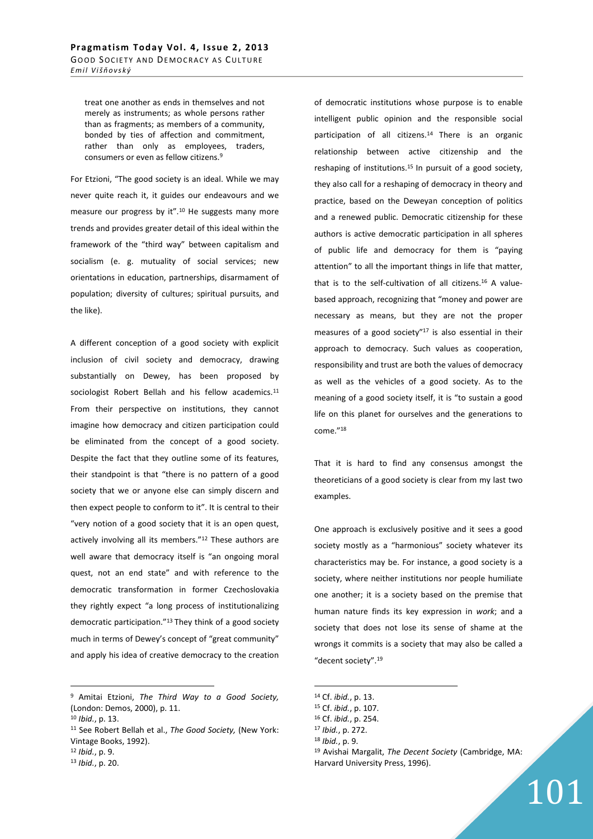treat one another as ends in themselves and not merely as instruments; as whole persons rather than as fragments; as members of a community, bonded by ties of affection and commitment, rather than only as employees, traders, consumers or even as fellow citizens.<sup>9</sup>

For Etzioni, "The good society is an ideal. While we may never quite reach it, it guides our endeavours and we measure our progress by it".<sup>10</sup> He suggests many more trends and provides greater detail of this ideal within the framework of the "third way" between capitalism and socialism (e. g. mutuality of social services; new orientations in education, partnerships, disarmament of population; diversity of cultures; spiritual pursuits, and the like).

A different conception of a good society with explicit inclusion of civil society and democracy, drawing substantially on Dewey, has been proposed by sociologist Robert Bellah and his fellow academics.<sup>11</sup> From their perspective on institutions, they cannot imagine how democracy and citizen participation could be eliminated from the concept of a good society. Despite the fact that they outline some of its features, their standpoint is that "there is no pattern of a good society that we or anyone else can simply discern and then expect people to conform to it". It is central to their "very notion of a good society that it is an open quest, actively involving all its members."<sup>12</sup> These authors are well aware that democracy itself is "an ongoing moral quest, not an end state" and with reference to the democratic transformation in former Czechoslovakia they rightly expect "a long process of institutionalizing democratic participation."<sup>13</sup> They think of a good society much in terms of Dewey's concept of "great community" and apply his idea of creative democracy to the creation

9 Amitai Etzioni, *The Third Way to a Good Society,* (London: Demos, 2000), p. 11.

 $\overline{a}$ 

<sup>11</sup> See Robert Bellah et al., *The Good Society,* (New York: Vintage Books, 1992).

of democratic institutions whose purpose is to enable intelligent public opinion and the responsible social participation of all citizens.<sup>14</sup> There is an organic relationship between active citizenship and the reshaping of institutions.<sup>15</sup> In pursuit of a good society, they also call for a reshaping of democracy in theory and practice, based on the Deweyan conception of politics and a renewed public. Democratic citizenship for these authors is active democratic participation in all spheres of public life and democracy for them is "paying attention" to all the important things in life that matter, that is to the self-cultivation of all citizens.16 A valuebased approach, recognizing that "money and power are necessary as means, but they are not the proper measures of a good society"<sup>17</sup> is also essential in their approach to democracy. Such values as cooperation, responsibility and trust are both the values of democracy as well as the vehicles of a good society. As to the meaning of a good society itself, it is "to sustain a good life on this planet for ourselves and the generations to come."<sup>18</sup>

That it is hard to find any consensus amongst the theoreticians of a good society is clear from my last two examples.

One approach is exclusively positive and it sees a good society mostly as a "harmonious" society whatever its characteristics may be. For instance, a good society is a society, where neither institutions nor people humiliate one another; it is a society based on the premise that human nature finds its key expression in *work*; and a society that does not lose its sense of shame at the wrongs it commits is a society that may also be called a "decent society".<sup>19</sup>

 $\overline{a}$ 

- <sup>18</sup> *Ibid.*, p. 9.
- <sup>19</sup> Avishai Margalit, *The Decent Society* (Cambridge, MA: Harvard University Press, 1996).

101

<sup>10</sup> *Ibid.*, p. 13.

<sup>12</sup> *Ibid.*, p. 9.

<sup>13</sup> *Ibid.*, p. 20.

<sup>14</sup> Cf. *ibid.*, p. 13.

<sup>15</sup> Cf. *ibid.*, p. 107.

<sup>16</sup> Cf. *ibid.*, p. 254.

<sup>17</sup> *Ibid.*, p. 272.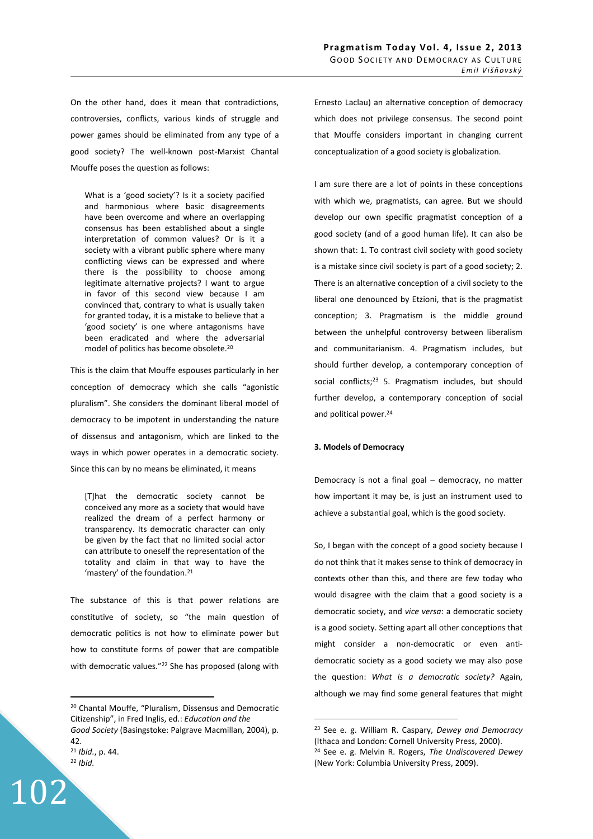On the other hand, does it mean that contradictions, controversies, conflicts, various kinds of struggle and power games should be eliminated from any type of a good society? The well-known post-Marxist Chantal Mouffe poses the question as follows:

What is a 'good society'? Is it a society pacified and harmonious where basic disagreements have been overcome and where an overlapping consensus has been established about a single interpretation of common values? Or is it a society with a vibrant public sphere where many conflicting views can be expressed and where there is the possibility to choose among legitimate alternative projects? I want to argue in favor of this second view because I am convinced that, contrary to what is usually taken for granted today, it is a mistake to believe that a 'good society' is one where antagonisms have been eradicated and where the adversarial model of politics has become obsolete.<sup>20</sup>

This is the claim that Mouffe espouses particularly in her conception of democracy which she calls "agonistic pluralism". She considers the dominant liberal model of democracy to be impotent in understanding the nature of dissensus and antagonism, which are linked to the ways in which power operates in a democratic society. Since this can by no means be eliminated, it means

[T]hat the democratic society cannot be conceived any more as a society that would have realized the dream of a perfect harmony or transparency. Its democratic character can only be given by the fact that no limited social actor can attribute to oneself the representation of the totality and claim in that way to have the 'mastery' of the foundation.<sup>21</sup>

The substance of this is that power relations are constitutive of society, so "the main question of democratic politics is not how to eliminate power but how to constitute forms of power that are compatible with democratic values."<sup>22</sup> She has proposed (along with

<sup>22</sup> *Ibid.*

 $\overline{a}$ 

102

Ernesto Laclau) an alternative conception of democracy which does not privilege consensus. The second point that Mouffe considers important in changing current conceptualization of a good society is globalization.

I am sure there are a lot of points in these conceptions with which we, pragmatists, can agree. But we should develop our own specific pragmatist conception of a good society (and of a good human life). It can also be shown that: 1. To contrast civil society with good society is a mistake since civil society is part of a good society; 2. There is an alternative conception of a civil society to the liberal one denounced by Etzioni, that is the pragmatist conception; 3. Pragmatism is the middle ground between the unhelpful controversy between liberalism and communitarianism. 4. Pragmatism includes, but should further develop, a contemporary conception of social conflicts;<sup>23</sup> 5. Pragmatism includes, but should further develop, a contemporary conception of social and political power.<sup>24</sup>

## **3. Models of Democracy**

 $\overline{a}$ 

Democracy is not a final goal – democracy, no matter how important it may be, is just an instrument used to achieve a substantial goal, which is the good society.

So, I began with the concept of a good society because I do not think that it makes sense to think of democracy in contexts other than this, and there are few today who would disagree with the claim that a good society is a democratic society, and *vice versa*: a democratic society is a good society. Setting apart all other conceptions that might consider a non-democratic or even antidemocratic society as a good society we may also pose the question: *What is a democratic society?* Again, although we may find some general features that might

<sup>20</sup> Chantal Mouffe, "Pluralism, Dissensus and Democratic Citizenship", in Fred Inglis, ed.: *Education and the Good Society* (Basingstoke: Palgrave Macmillan, 2004), p. 42. <sup>21</sup> *Ibid.*, p. 44.

<sup>23</sup> See e. g. William R. Caspary, *Dewey and Democracy* (Ithaca and London: Cornell University Press, 2000). <sup>24</sup> See e. g. Melvin R. Rogers, *The Undiscovered Dewey* (New York: Columbia University Press, 2009).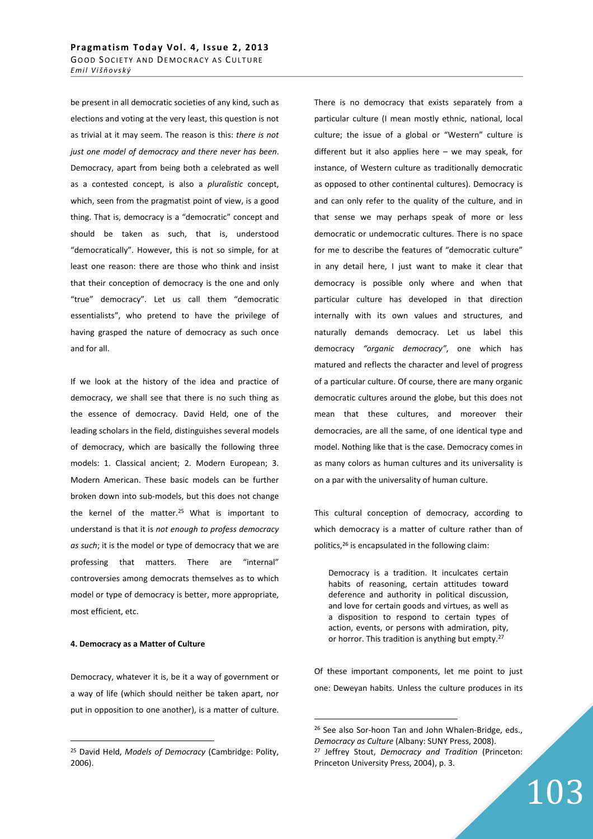be present in all democratic societies of any kind, such as elections and voting at the very least, this question is not as trivial at it may seem. The reason is this: *there is not just one model of democracy and there never has been*. Democracy, apart from being both a celebrated as well as a contested concept, is also a *pluralistic* concept, which, seen from the pragmatist point of view, is a good thing. That is, democracy is a "democratic" concept and should be taken as such, that is, understood "democratically". However, this is not so simple, for at least one reason: there are those who think and insist that their conception of democracy is the one and only "true" democracy". Let us call them "democratic essentialists", who pretend to have the privilege of having grasped the nature of democracy as such once and for all.

If we look at the history of the idea and practice of democracy, we shall see that there is no such thing as the essence of democracy. David Held, one of the leading scholars in the field, distinguishes several models of democracy, which are basically the following three models: 1. Classical ancient; 2. Modern European; 3. Modern American. These basic models can be further broken down into sub-models, but this does not change the kernel of the matter.<sup>25</sup> What is important to understand is that it is *not enough to profess democracy as such*; it is the model or type of democracy that we are professing that matters. There are "internal" controversies among democrats themselves as to which model or type of democracy is better, more appropriate, most efficient, etc.

## **4. Democracy as a Matter of Culture**

 $\overline{a}$ 

Democracy, whatever it is, be it a way of government or a way of life (which should neither be taken apart, nor put in opposition to one another), is a matter of culture. There is no democracy that exists separately from a particular culture (I mean mostly ethnic, national, local culture; the issue of a global or "Western" culture is different but it also applies here – we may speak, for instance, of Western culture as traditionally democratic as opposed to other continental cultures). Democracy is and can only refer to the quality of the culture, and in that sense we may perhaps speak of more or less democratic or undemocratic cultures. There is no space for me to describe the features of "democratic culture" in any detail here, I just want to make it clear that democracy is possible only where and when that particular culture has developed in that direction internally with its own values and structures, and naturally demands democracy. Let us label this democracy *"organic democracy"*, one which has matured and reflects the character and level of progress of a particular culture. Of course, there are many organic democratic cultures around the globe, but this does not mean that these cultures, and moreover their democracies, are all the same, of one identical type and model. Nothing like that is the case. Democracy comes in as many colors as human cultures and its universality is on a par with the universality of human culture.

This cultural conception of democracy, according to which democracy is a matter of culture rather than of politics,<sup>26</sup> is encapsulated in the following claim:

Democracy is a tradition. It inculcates certain habits of reasoning, certain attitudes toward deference and authority in political discussion, and love for certain goods and virtues, as well as a disposition to respond to certain types of action, events, or persons with admiration, pity, or horror. This tradition is anything but empty.<sup>27</sup>

Of these important components, let me point to just one: Deweyan habits. Unless the culture produces in its

 $\overline{a}$ 

103

<sup>25</sup> David Held, *Models of Democracy* (Cambridge: Polity, 2006).

<sup>26</sup> See also Sor-hoon Tan and John Whalen-Bridge, eds., *Democracy as Culture* (Albany: SUNY Press, 2008). <sup>27</sup> Jeffrey Stout, *Democracy and Tradition* (Princeton: Princeton University Press, 2004), p. 3.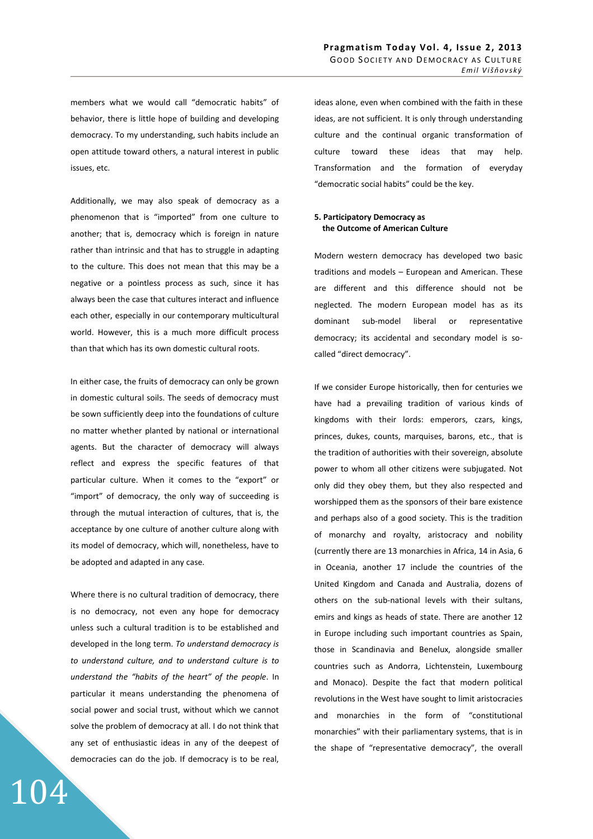members what we would call "democratic habits" of behavior, there is little hope of building and developing democracy. To my understanding, such habits include an open attitude toward others, a natural interest in public issues, etc.

Additionally, we may also speak of democracy as a phenomenon that is "imported" from one culture to another; that is, democracy which is foreign in nature rather than intrinsic and that has to struggle in adapting to the culture. This does not mean that this may be a negative or a pointless process as such, since it has always been the case that cultures interact and influence each other, especially in our contemporary multicultural world. However, this is a much more difficult process than that which has its own domestic cultural roots.

In either case, the fruits of democracy can only be grown in domestic cultural soils. The seeds of democracy must be sown sufficiently deep into the foundations of culture no matter whether planted by national or international agents. But the character of democracy will always reflect and express the specific features of that particular culture. When it comes to the "export" or "import" of democracy, the only way of succeeding is through the mutual interaction of cultures, that is, the acceptance by one culture of another culture along with its model of democracy, which will, nonetheless, have to be adopted and adapted in any case.

Where there is no cultural tradition of democracy, there is no democracy, not even any hope for democracy unless such a cultural tradition is to be established and developed in the long term. *To understand democracy is to understand culture, and to understand culture is to understand the "habits of the heart" of the people*. In particular it means understanding the phenomena of social power and social trust, without which we cannot solve the problem of democracy at all. I do not think that any set of enthusiastic ideas in any of the deepest of democracies can do the job. If democracy is to be real,

104

ideas alone, even when combined with the faith in these ideas, are not sufficient. It is only through understanding culture and the continual organic transformation of culture toward these ideas that may help. Transformation and the formation of everyday "democratic social habits" could be the key.

# **5. Participatory Democracy as the Outcome of American Culture**

Modern western democracy has developed two basic traditions and models – European and American. These are different and this difference should not be neglected. The modern European model has as its dominant sub-model liberal or representative democracy; its accidental and secondary model is socalled "direct democracy".

If we consider Europe historically, then for centuries we have had a prevailing tradition of various kinds of kingdoms with their lords: emperors, czars, kings, princes, dukes, counts, marquises, barons, etc., that is the tradition of authorities with their sovereign, absolute power to whom all other citizens were subjugated. Not only did they obey them, but they also respected and worshipped them as the sponsors of their bare existence and perhaps also of a good society. This is the tradition of monarchy and royalty, aristocracy and nobility (currently there are 13 monarchies in Africa, 14 in Asia, 6 in Oceania, another 17 include the countries of the United Kingdom and Canada and Australia, dozens of others on the sub-national levels with their sultans, emirs and kings as heads of state. There are another 12 in Europe including such important countries as Spain, those in Scandinavia and Benelux, alongside smaller countries such as Andorra, Lichtenstein, Luxembourg and Monaco). Despite the fact that modern political revolutions in the West have sought to limit aristocracies and monarchies in the form of "constitutional monarchies" with their parliamentary systems, that is in the shape of "representative democracy", the overall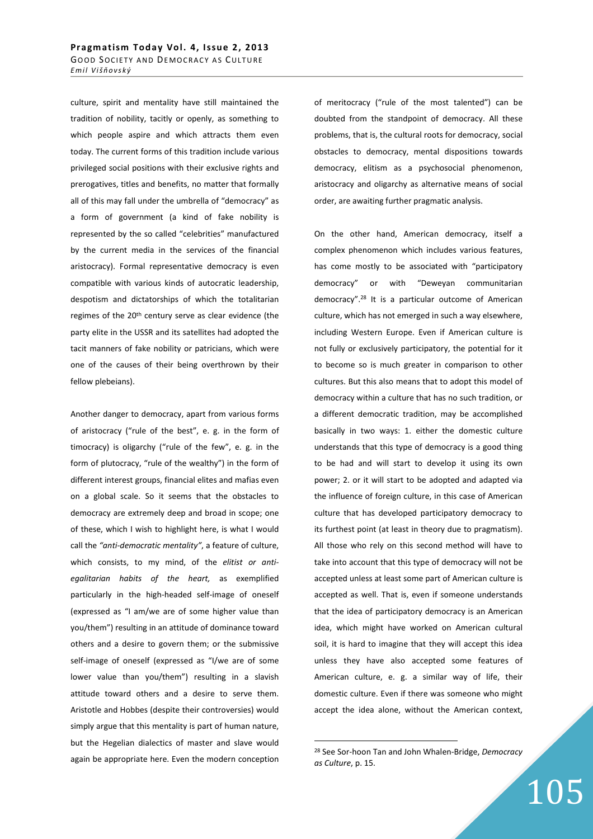culture, spirit and mentality have still maintained the tradition of nobility, tacitly or openly, as something to which people aspire and which attracts them even today. The current forms of this tradition include various privileged social positions with their exclusive rights and prerogatives, titles and benefits, no matter that formally all of this may fall under the umbrella of "democracy" as a form of government (a kind of fake nobility is represented by the so called "celebrities" manufactured by the current media in the services of the financial aristocracy). Formal representative democracy is even compatible with various kinds of autocratic leadership, despotism and dictatorships of which the totalitarian regimes of the 20<sup>th</sup> century serve as clear evidence (the party elite in the USSR and its satellites had adopted the tacit manners of fake nobility or patricians, which were one of the causes of their being overthrown by their fellow plebeians).

Another danger to democracy, apart from various forms of aristocracy ("rule of the best", e. g. in the form of timocracy) is oligarchy ("rule of the few", e. g. in the form of plutocracy, "rule of the wealthy") in the form of different interest groups, financial elites and mafias even on a global scale. So it seems that the obstacles to democracy are extremely deep and broad in scope; one of these, which I wish to highlight here, is what I would call the *"anti-democratic mentality"*, a feature of culture, which consists, to my mind, of the *elitist or antiegalitarian habits of the heart,* as exemplified particularly in the high-headed self-image of oneself (expressed as "I am/we are of some higher value than you/them") resulting in an attitude of dominance toward others and a desire to govern them; or the submissive self-image of oneself (expressed as "I/we are of some lower value than you/them") resulting in a slavish attitude toward others and a desire to serve them. Aristotle and Hobbes (despite their controversies) would simply argue that this mentality is part of human nature, but the Hegelian dialectics of master and slave would again be appropriate here. Even the modern conception of meritocracy ("rule of the most talented") can be doubted from the standpoint of democracy. All these problems, that is, the cultural roots for democracy, social obstacles to democracy, mental dispositions towards democracy, elitism as a psychosocial phenomenon, aristocracy and oligarchy as alternative means of social order, are awaiting further pragmatic analysis.

On the other hand, American democracy, itself a complex phenomenon which includes various features, has come mostly to be associated with "participatory democracy" or with "Deweyan communitarian democracy".<sup>28</sup> It is a particular outcome of American culture, which has not emerged in such a way elsewhere, including Western Europe. Even if American culture is not fully or exclusively participatory, the potential for it to become so is much greater in comparison to other cultures. But this also means that to adopt this model of democracy within a culture that has no such tradition, or a different democratic tradition, may be accomplished basically in two ways: 1. either the domestic culture understands that this type of democracy is a good thing to be had and will start to develop it using its own power; 2. or it will start to be adopted and adapted via the influence of foreign culture, in this case of American culture that has developed participatory democracy to its furthest point (at least in theory due to pragmatism). All those who rely on this second method will have to take into account that this type of democracy will not be accepted unless at least some part of American culture is accepted as well. That is, even if someone understands that the idea of participatory democracy is an American idea, which might have worked on American cultural soil, it is hard to imagine that they will accept this idea unless they have also accepted some features of American culture, e. g. a similar way of life, their domestic culture. Even if there was someone who might accept the idea alone, without the American context,

 $\overline{a}$ 

<sup>28</sup> See Sor-hoon Tan and John Whalen-Bridge, *Democracy as Culture*, p. 15.